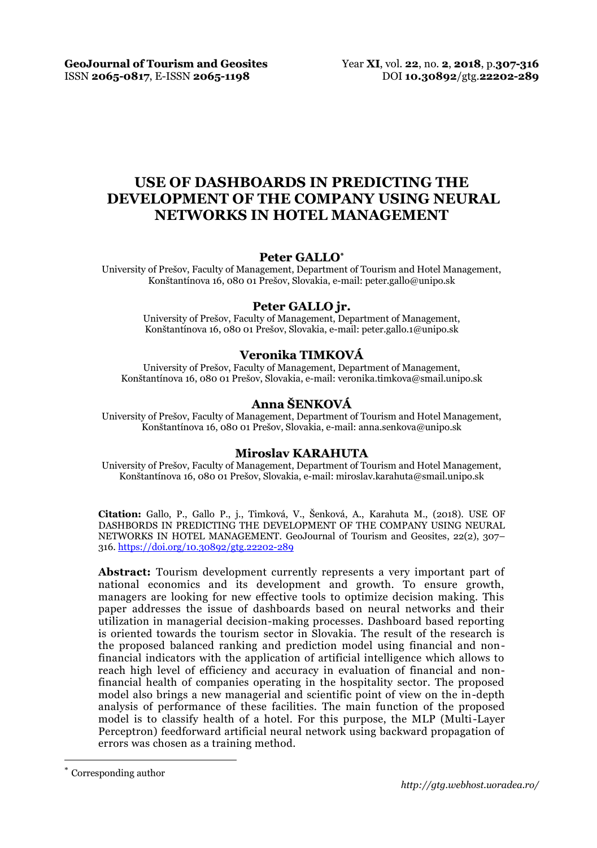**GeoJournal of Tourism and Geosites** Year **XI**, vol. **22**, no. **2**, **2018**, p.**307-316** ISSN **2065-0817**, E-ISSN **2065-1198** DOI **10.30892**/gtg.**22202-289**

# **USE OF DASHBOARDS IN PREDICTING THE DEVELOPMENT OF THE COMPANY USING NEURAL NETWORKS IN HOTEL MANAGEMENT**

#### **Peter GALLO\***

University of Prešov, Faculty of Management, Department of Tourism and Hotel Management, Konštantínova 16, 080 01 Prešov, Slovakia, e-mail: peter.gallo@unipo.sk

#### **Peter GALLO jr.**

University of Prešov, Faculty of Management, Department of Management, Konštantínova 16, 080 01 Prešov, Slovakia, e-mail: peter.gallo.1@unipo.sk

#### **Veronika TIMKOVÁ**

University of Prešov, Faculty of Management, Department of Management, Konštantínova 16, 080 01 Prešov, Slovakia, e-mail[: veronika.timkova@smail.unipo.sk](mailto:veronika.timkova@smail.unipo.sk)

## **Anna ŠENKOVÁ**

University of Prešov, Faculty of Management, Department of Tourism and Hotel Management, Konštantínova 16, 080 01 Prešov, Slovakia, e-mail: anna.senkova@unipo.sk

### **Miroslav KARAHUTA**

University of Prešov, Faculty of Management, Department of Tourism and Hotel Management, Konštantínova 16, 080 01 Prešov, Slovakia, e-mail: miroslav.karahuta@smail.unipo.sk

**Citation:** Gallo, P., Gallo P., j., Timková, V., Šenková, A., Karahuta M., (2018). USE OF DASHBORDS IN PREDICTING THE DEVELOPMENT OF THE COMPANY USING NEURAL NETWORKS IN HOTEL MANAGEMENT. GeoJournal of Tourism and Geosites, 22(2), 307– 316. <https://doi.org/10.30892/gtg.22202-289>

**Abstract:** Tourism development currently represents a very important part of national economics and its development and growth. To ensure growth, managers are looking for new effective tools to optimize decision making. This paper addresses the issue of dashboards based on neural networks and their utilization in managerial decision-making processes. Dashboard based reporting is oriented towards the tourism sector in Slovakia. The result of the research is the proposed balanced ranking and prediction model using financial and nonfinancial indicators with the application of artificial intelligence which allows to reach high level of efficiency and accuracy in evaluation of financial and nonfinancial health of companies operating in the hospitality sector. The proposed model also brings a new managerial and scientific point of view on the in-depth analysis of performance of these facilities. The main function of the proposed model is to classify health of a hotel. For this purpose, the MLP (Multi-Layer Perceptron) feedforward artificial neural network using backward propagation of errors was chosen as a training method.

l

Corresponding author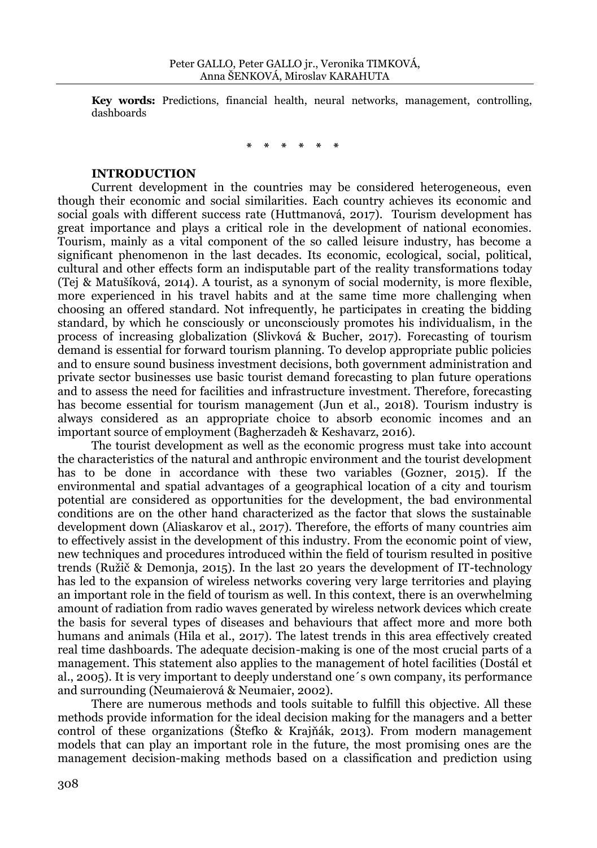**Key words:** Predictions, financial health, neural networks, management, controlling, dashboards

**\* \* \* \* \* \***

## **INTRODUCTION**

Current development in the countries may be considered heterogeneous, even though their economic and social similarities. Each country achieves its economic and social goals with different success rate (Huttmanová, 2017). Tourism development has great importance and plays a critical role in the development of national economies. Tourism, mainly as a vital component of the so called leisure industry, has become a significant phenomenon in the last decades. Its economic, ecological, social, political, cultural and other effects form an indisputable part of the reality transformations today (Tej & Matušíková, 2014). A tourist, as a synonym of social modernity, is more flexible, more experienced in his travel habits and at the same time more challenging when choosing an offered standard. Not infrequently, he participates in creating the bidding standard, by which he consciously or unconsciously promotes his individualism, in the process of increasing globalization (Slivková & Bucher, 2017). Forecasting of tourism demand is essential for forward tourism planning. To develop appropriate public policies and to ensure sound business investment decisions, both government administration and private sector businesses use basic tourist demand forecasting to plan future operations and to assess the need for facilities and infrastructure investment. Therefore, forecasting has become essential for tourism management (Jun et al., 2018). Tourism industry is always considered as an appropriate choice to absorb economic incomes and an important source of employment (Bagherzadeh & Keshavarz, 2016).

The tourist development as well as the economic progress must take into account the characteristics of the natural and anthropic environment and the tourist development has to be done in accordance with these two variables (Gozner, 2015). If the environmental and spatial advantages of a geographical location of a city and tourism potential are considered as opportunities for the development, the bad environmental conditions are on the other hand characterized as the factor that slows the sustainable development down (Aliaskarov et al., 2017). Therefore, the efforts of many countries aim to effectively assist in the development of this industry. From the economic point of view, new techniques and procedures introduced within the field of tourism resulted in positive trends (Ružič & Demonja, 2015). In the last 20 years the development of IT-technology has led to the expansion of wireless networks covering very large territories and playing an important role in the field of tourism as well. In this context, there is an overwhelming amount of radiation from radio waves generated by wireless network devices which create the basis for several types of diseases and behaviours that affect more and more both humans and animals (Hila et al., 2017). The latest trends in this area effectively created real time dashboards. The adequate decision-making is one of the most crucial parts of a management. This statement also applies to the management of hotel facilities (Dostál et al., 2005). It is very important to deeply understand one´s own company, its performance and surrounding (Neumaierová & Neumaier, 2002).

There are numerous methods and tools suitable to fulfill this objective. All these methods provide information for the ideal decision making for the managers and a better control of these organizations (Štefko & Krajňák, 2013). From modern management models that can play an important role in the future, the most promising ones are the management decision-making methods based on a classification and prediction using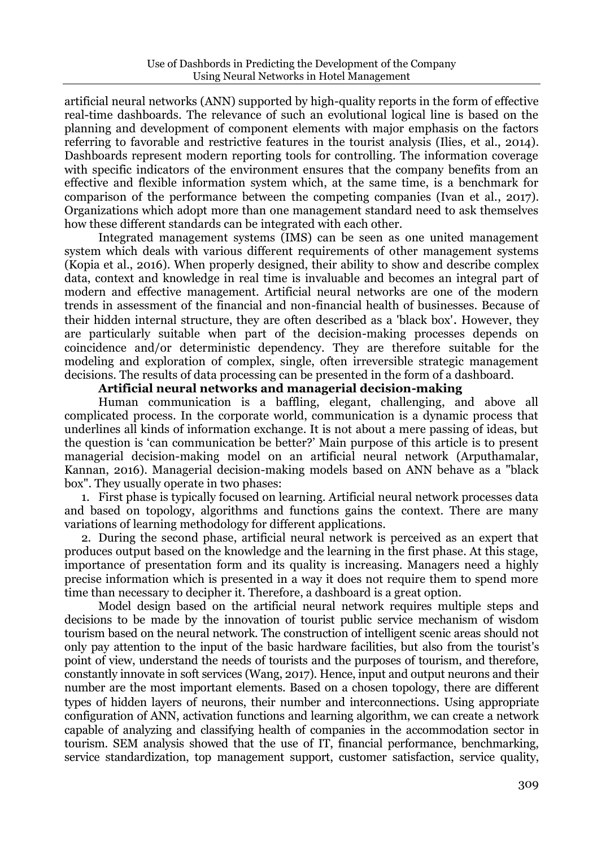artificial neural networks (ANN) supported by high-quality reports in the form of effective real-time dashboards. The relevance of such an evolutional logical line is based on the planning and development of component elements with major emphasis on the factors referring to favorable and restrictive features in the tourist analysis (Ilies, et al., 2014). Dashboards represent modern reporting tools for controlling. The information coverage with specific indicators of the environment ensures that the company benefits from an effective and flexible information system which, at the same time, is a benchmark for comparison of the performance between the competing companies (Ivan et al., 2017). Organizations which adopt more than one management standard need to ask themselves how these different standards can be integrated with each other.

Integrated management systems (IMS) can be seen as one united management system which deals with various different requirements of other management systems (Kopia et al., 2016). When properly designed, their ability to show and describe complex data, context and knowledge in real time is invaluable and becomes an integral part of modern and effective management. Artificial neural networks are one of the modern trends in assessment of the financial and non-financial health of businesses. Because of their hidden internal structure, they are often described as a 'black box'. However, they are particularly suitable when part of the decision-making processes depends on coincidence and/or deterministic dependency. They are therefore suitable for the modeling and exploration of complex, single, often irreversible strategic management decisions. The results of data processing can be presented in the form of a dashboard.

## **Artificial neural networks and managerial decision-making**

Human communication is a baffling, elegant, challenging, and above all complicated process. In the corporate world, communication is a dynamic process that underlines all kinds of information exchange. It is not about a mere passing of ideas, but the question is 'can communication be better?' Main purpose of this article is to present managerial decision-making model on an artificial neural network (Arputhamalar, Kannan, 2016). Managerial decision-making models based on ANN behave as a "black box". They usually operate in two phases:

1. First phase is typically focused on learning. Artificial neural network processes data and based on topology, algorithms and functions gains the context. There are many variations of learning methodology for different applications.

2. During the second phase, artificial neural network is perceived as an expert that produces output based on the knowledge and the learning in the first phase. At this stage, importance of presentation form and its quality is increasing. Managers need a highly precise information which is presented in a way it does not require them to spend more time than necessary to decipher it. Therefore, a dashboard is a great option.

Model design based on the artificial neural network requires multiple steps and decisions to be made by the innovation of tourist public service mechanism of wisdom tourism based on the neural network. The construction of intelligent scenic areas should not only pay attention to the input of the basic hardware facilities, but also from the tourist's point of view, understand the needs of tourists and the purposes of tourism, and therefore, constantly innovate in soft services (Wang, 2017). Hence, input and output neurons and their number are the most important elements. Based on a chosen topology, there are different types of hidden layers of neurons, their number and interconnections. Using appropriate configuration of ANN, activation functions and learning algorithm, we can create a network capable of analyzing and classifying health of companies in the accommodation sector in tourism. SEM analysis showed that the use of IT, financial performance, benchmarking, service standardization, top management support, customer satisfaction, service quality,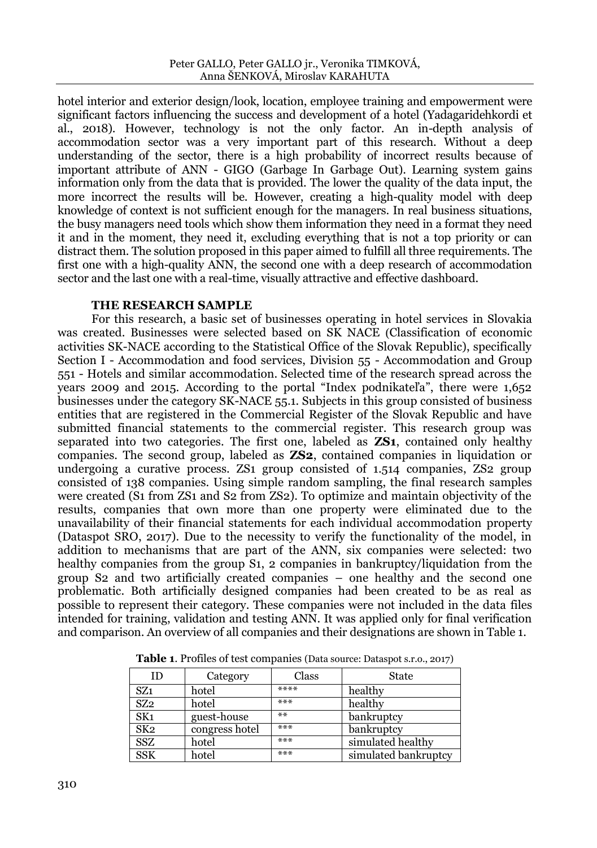hotel interior and exterior design/look, location, employee training and empowerment were significant factors influencing the success and development of a hotel (Yadagaridehkordi et al., 2018). However, technology is not the only factor. An in-depth analysis of accommodation sector was a very important part of this research. Without a deep understanding of the sector, there is a high probability of incorrect results because of important attribute of ANN - GIGO (Garbage In Garbage Out). Learning system gains information only from the data that is provided. The lower the quality of the data input, the more incorrect the results will be. However, creating a high-quality model with deep knowledge of context is not sufficient enough for the managers. In real business situations, the busy managers need tools which show them information they need in a format they need it and in the moment, they need it, excluding everything that is not a top priority or can distract them. The solution proposed in this paper aimed to fulfill all three requirements. The first one with a high-quality ANN, the second one with a deep research of accommodation sector and the last one with a real-time, visually attractive and effective dashboard.

## **THE RESEARCH SAMPLE**

For this research, a basic set of businesses operating in hotel services in Slovakia was created. Businesses were selected based on SK NACE (Classification of economic activities SK-NACE according to the Statistical Office of the Slovak Republic), specifically Section I - Accommodation and food services, Division 55 - Accommodation and Group 551 - Hotels and similar accommodation. Selected time of the research spread across the years 2009 and 2015. According to the portal "Index podnikateľa", there were 1,652 businesses under the category SK-NACE 55.1. Subjects in this group consisted of business entities that are registered in the Commercial Register of the Slovak Republic and have submitted financial statements to the commercial register. This research group was separated into two categories. The first one, labeled as **ZS1**, contained only healthy companies. The second group, labeled as **ZS2**, contained companies in liquidation or undergoing a curative process. ZS1 group consisted of 1.514 companies, ZS2 group consisted of 138 companies. Using simple random sampling, the final research samples were created (S1 from ZS1 and S2 from ZS2). To optimize and maintain objectivity of the results, companies that own more than one property were eliminated due to the unavailability of their financial statements for each individual accommodation property (Dataspot SRO, 2017). Due to the necessity to verify the functionality of the model, in addition to mechanisms that are part of the ANN, six companies were selected: two healthy companies from the group S1, 2 companies in bankruptcy/liquidation from the group S2 and two artificially created companies – one healthy and the second one problematic. Both artificially designed companies had been created to be as real as possible to represent their category. These companies were not included in the data files intended for training, validation and testing ANN. It was applied only for final verification and comparison. An overview of all companies and their designations are shown in Table 1.

| ID              | Category       | Class | State                |
|-----------------|----------------|-------|----------------------|
| SZ <sub>1</sub> | hotel          | ****  | healthy              |
| SZ <sub>2</sub> | hotel          | ***   | healthy              |
| SK <sub>1</sub> | guest-house    | $***$ | bankruptcy           |
| SK <sub>2</sub> | congress hotel | ***   | bankruptcy           |
| <b>SSZ</b>      | hotel          | ***   | simulated healthy    |
| <b>SSK</b>      | hotel          | ***   | simulated bankruptcy |

**Table 1**. Profiles of test companies (Data source: Dataspot s.r.o., 2017)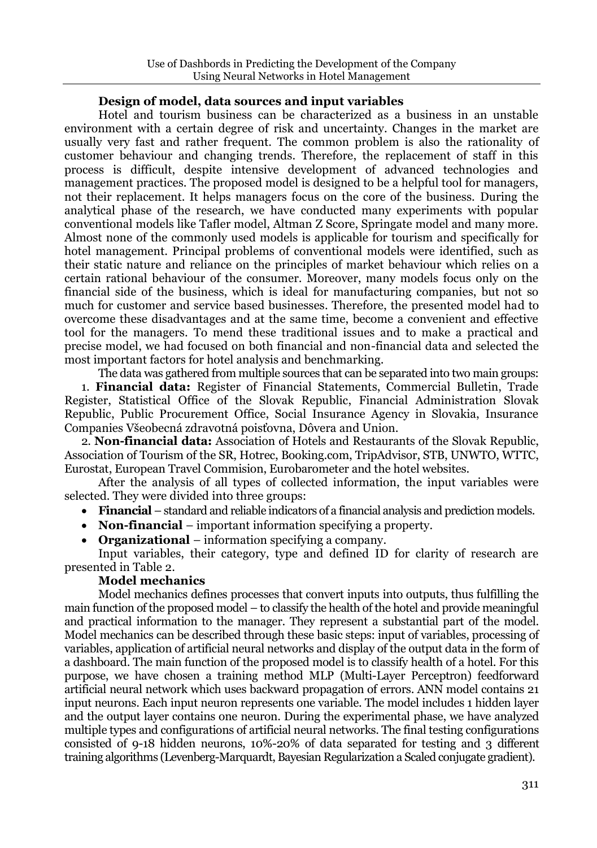## **Design of model, data sources and input variables**

Hotel and tourism business can be characterized as a business in an unstable environment with a certain degree of risk and uncertainty. Changes in the market are usually very fast and rather frequent. The common problem is also the rationality of customer behaviour and changing trends. Therefore, the replacement of staff in this process is difficult, despite intensive development of advanced technologies and management practices. The proposed model is designed to be a helpful tool for managers, not their replacement. It helps managers focus on the core of the business. During the analytical phase of the research, we have conducted many experiments with popular conventional models like Tafler model, Altman Z Score, Springate model and many more. Almost none of the commonly used models is applicable for tourism and specifically for hotel management. Principal problems of conventional models were identified, such as their static nature and reliance on the principles of market behaviour which relies on a certain rational behaviour of the consumer. Moreover, many models focus only on the financial side of the business, which is ideal for manufacturing companies, but not so much for customer and service based businesses. Therefore, the presented model had to overcome these disadvantages and at the same time, become a convenient and effective tool for the managers. To mend these traditional issues and to make a practical and precise model, we had focused on both financial and non-financial data and selected the most important factors for hotel analysis and benchmarking.

The data was gathered from multiple sources that can be separated into two main groups: 1. **Financial data:** Register of Financial Statements, Commercial Bulletin, Trade Register, Statistical Office of the Slovak Republic, Financial Administration Slovak Republic, Public Procurement Office, Social Insurance Agency in Slovakia, Insurance Companies Všeobecná zdravotná poisťovna, Dôvera and Union.

2. **Non-financial data:** Association of Hotels and Restaurants of the Slovak Republic, Association of Tourism of the SR, Hotrec, Booking.com, TripAdvisor, STB, UNWTO, WTTC, Eurostat, European Travel Commision, Eurobarometer and the hotel websites.

After the analysis of all types of collected information, the input variables were selected. They were divided into three groups:

- **Financial** standard and reliable indicators of a financial analysis and prediction models.
- **Non-financial** important information specifying a property.
- **Organizational**  information specifying a company.

Input variables, their category, type and defined ID for clarity of research are presented in Table 2.

# **Model mechanics**

Model mechanics defines processes that convert inputs into outputs, thus fulfilling the main function of the proposed model – to classify the health of the hotel and provide meaningful and practical information to the manager. They represent a substantial part of the model. Model mechanics can be described through these basic steps: input of variables, processing of variables, application of artificial neural networks and display of the output data in the form of a dashboard. The main function of the proposed model is to classify health of a hotel. For this purpose, we have chosen a training method MLP (Multi-Layer Perceptron) feedforward artificial neural network which uses backward propagation of errors. ANN model contains 21 input neurons. Each input neuron represents one variable. The model includes 1 hidden layer and the output layer contains one neuron. During the experimental phase, we have analyzed multiple types and configurations of artificial neural networks. The final testing configurations consisted of 9-18 hidden neurons, 10%-20% of data separated for testing and 3 different training algorithms (Levenberg-Marquardt, Bayesian Regularization a Scaled conjugate gradient).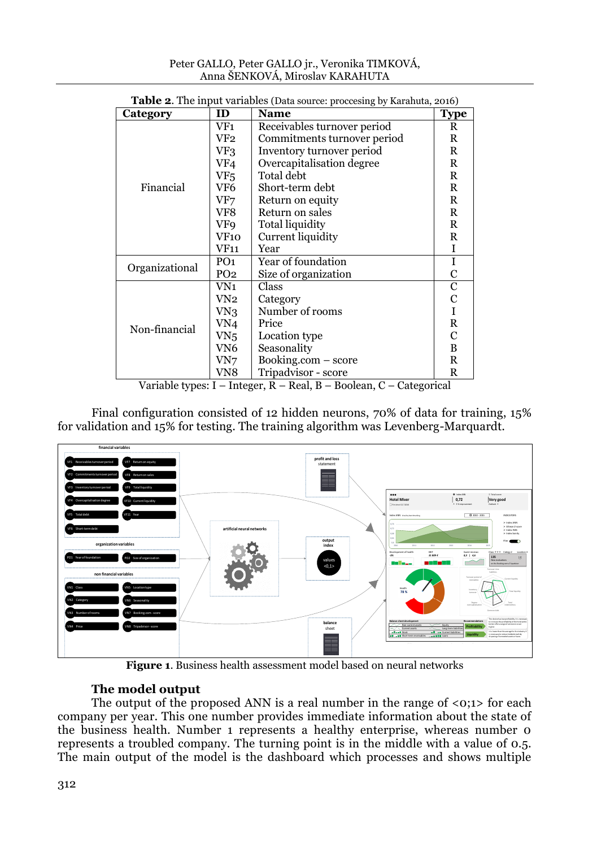| Peter GALLO, Peter GALLO jr., Veronika TIMKOVÁ, |
|-------------------------------------------------|
| Anna ŠENKOVÁ, Miroslav KARAHUTA                 |

| <b>Table 2.</b> The input variables (Data source: proccesing by Karahuta, 2016) |                 |                             |             |  |
|---------------------------------------------------------------------------------|-----------------|-----------------------------|-------------|--|
| Category                                                                        | ID              | <b>Name</b>                 | <b>Type</b> |  |
|                                                                                 | VF1             | Receivables turnover period | R           |  |
|                                                                                 | VF2             | Commitments turnover period | R           |  |
|                                                                                 | VF3             | Inventory turnover period   | R           |  |
|                                                                                 | VF4             | Overcapitalisation degree   | R           |  |
|                                                                                 | VF5.            | Total debt                  | R           |  |
| Financial                                                                       | VF6             | Short-term debt             | R           |  |
|                                                                                 | VF7             | Return on equity            | R           |  |
|                                                                                 | VF8             | Return on sales             | R           |  |
|                                                                                 | VF9             | Total liquidity             | R           |  |
|                                                                                 | VF10            | Current liquidity           | R           |  |
|                                                                                 | <b>VF11</b>     | Year                        | I           |  |
|                                                                                 | PO <sub>1</sub> | Year of foundation          | I           |  |
| Organizational                                                                  | PO <sub>2</sub> | Size of organization        | C           |  |
|                                                                                 | VN1             | Class                       | C           |  |
|                                                                                 | VN2             | Category                    | С           |  |
|                                                                                 | VN3             | Number of rooms             |             |  |
| Non-financial                                                                   | VN4             | Price                       | R           |  |
|                                                                                 | VN <sub>5</sub> | Location type               | С           |  |
|                                                                                 | VN6             | Seasonality                 | B           |  |
|                                                                                 | VN7             | Booking.com – score         | R           |  |
|                                                                                 | VN8             | Tripadvisor - score         | R           |  |

**Table 2**. The input variables (Data source: proccesing by Karahuta, 2016)

Variable types: I – Integer, R – Real, B – Boolean, C – Categorical

Final configuration consisted of 12 hidden neurons, 70% of data for training, 15% for validation and 15% for testing. The training algorithm was Levenberg-Marquardt.



**Figure 1**. Business health assessment model based on neural networks

# **The model output**

The output of the proposed ANN is a real number in the range of <0;1> for each company per year. This one number provides immediate information about the state of the business health. Number 1 represents a healthy enterprise, whereas number 0 represents a troubled company. The turning point is in the middle with a value of 0.5. The main output of the model is the dashboard which processes and shows multiple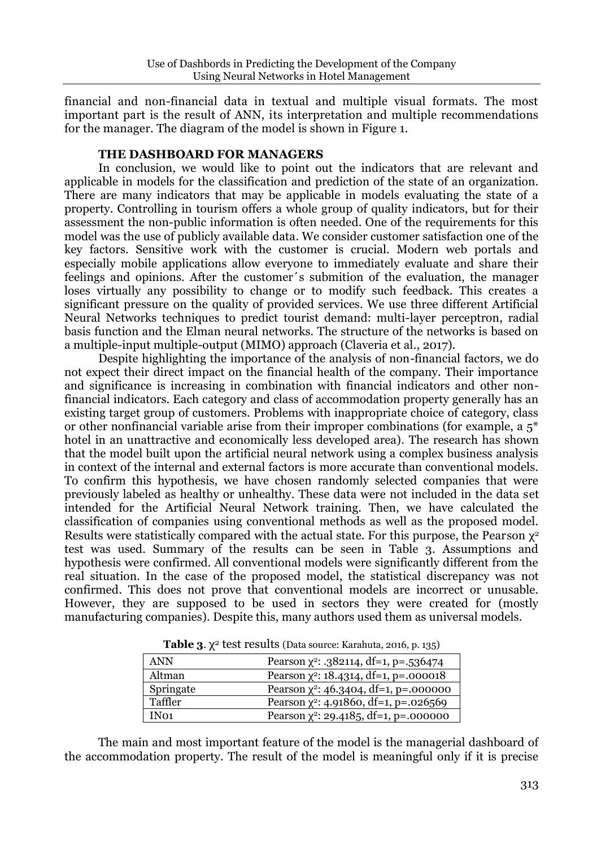financial and non-financial data in textual and multiple visual formats. The most important part is the result of ANN, its interpretation and multiple recommendations for the manager. The diagram of the model is shown in Figure 1.

# **THE DASHBOARD FOR MANAGERS**

In conclusion, we would like to point out the indicators that are relevant and applicable in models for the classification and prediction of the state of an organization. There are many indicators that may be applicable in models evaluating the state of a property. Controlling in tourism offers a whole group of quality indicators, but for their assessment the non-public information is often needed. One of the requirements for this model was the use of publicly available data. We consider customer satisfaction one of the key factors. Sensitive work with the customer is crucial. Modern web portals and especially mobile applications allow everyone to immediately evaluate and share their feelings and opinions. After the customer´s submition of the evaluation, the manager loses virtually any possibility to change or to modify such feedback. This creates a significant pressure on the quality of provided services. We use three different Artificial Neural Networks techniques to predict tourist demand: multi-layer perceptron, radial basis function and the Elman neural networks. The structure of the networks is based on a multiple-input multiple-output (MIMO) approach (Claveria et al., 2017).

Despite highlighting the importance of the analysis of non-financial factors, we do not expect their direct impact on the financial health of the company. Their importance and significance is increasing in combination with financial indicators and other nonfinancial indicators. Each category and class of accommodation property generally has an existing target group of customers. Problems with inappropriate choice of category, class or other nonfinancial variable arise from their improper combinations (for example, a  $5^*$ hotel in an unattractive and economically less developed area). The research has shown that the model built upon the artificial neural network using a complex business analysis in context of the internal and external factors is more accurate than conventional models. To confirm this hypothesis, we have chosen randomly selected companies that were previously labeled as healthy or unhealthy. These data were not included in the data set intended for the Artificial Neural Network training. Then, we have calculated the classification of companies using conventional methods as well as the proposed model. Results were statistically compared with the actual state. For this purpose, the Pearson  $\chi^2$ test was used. Summary of the results can be seen in Table 3. Assumptions and hypothesis were confirmed. All conventional models were significantly different from the real situation. In the case of the proposed model, the statistical discrepancy was not confirmed. This does not prove that conventional models are incorrect or unusable. However, they are supposed to be used in sectors they were created for (mostly manufacturing companies). Despite this, many authors used them as universal models.

| <b>ANN</b>       | Pearson $\chi^2$ : .382114, df=1, p=.536474 |
|------------------|---------------------------------------------|
| Altman           | Pearson $\chi^2$ : 18.4314, df=1, p=.000018 |
| Springate        | Pearson $\chi^2$ : 46.3404, df=1, p=.000000 |
| Taffler          | Pearson $\chi^2$ : 4.91860, df=1, p=.026569 |
| IN <sub>01</sub> | Pearson $\chi^2$ : 29.4185, df=1, p=.000000 |

**Table 3**. χ <sup>2</sup> test results (Data source: Karahuta, 2016, p. 135)

The main and most important feature of the model is the managerial dashboard of the accommodation property. The result of the model is meaningful only if it is precise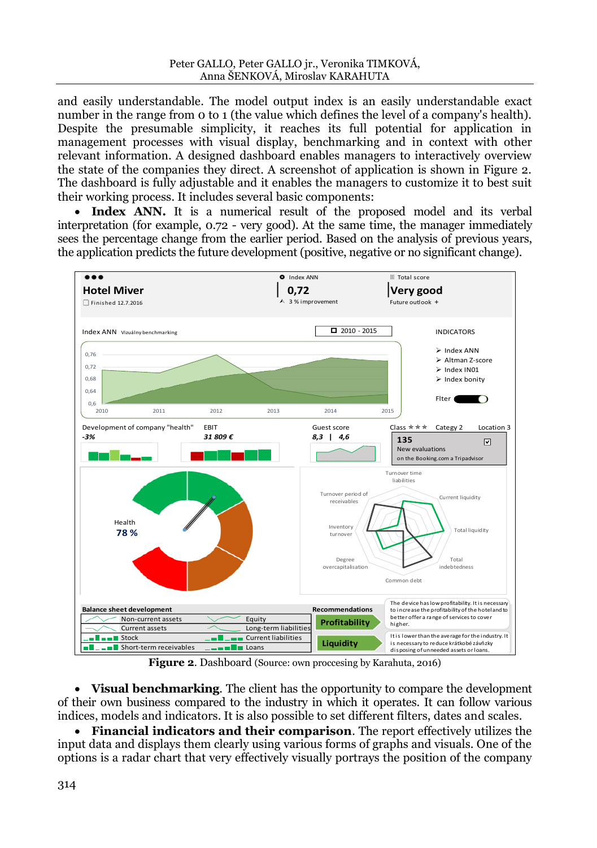and easily understandable. The model output index is an easily understandable exact number in the range from 0 to 1 (the value which defines the level of a company's health). Despite the presumable simplicity, it reaches its full potential for application in management processes with visual display, benchmarking and in context with other relevant information. A designed dashboard enables managers to interactively overview the state of the companies they direct. A screenshot of application is shown in Figure 2. The dashboard is fully adjustable and it enables the managers to customize it to best suit their working process. It includes several basic components:

• **Index ANN.** It is a numerical result of the proposed model and its verbal interpretation (for example, 0.72 - very good). At the same time, the manager immediately sees the percentage change from the earlier period. Based on the analysis of previous years, the application predicts the future development (positive, negative or no significant change).



**Figure 2**. Dashboard (Source: own proccesing by Karahuta, 2016)

 **Visual benchmarking**. The client has the opportunity to compare the development of their own business compared to the industry in which it operates. It can follow various indices, models and indicators. It is also possible to set different filters, dates and scales.

 **Financial indicators and their comparison**. The report effectively utilizes the input data and displays them clearly using various forms of graphs and visuals. One of the options is a radar chart that very effectively visually portrays the position of the company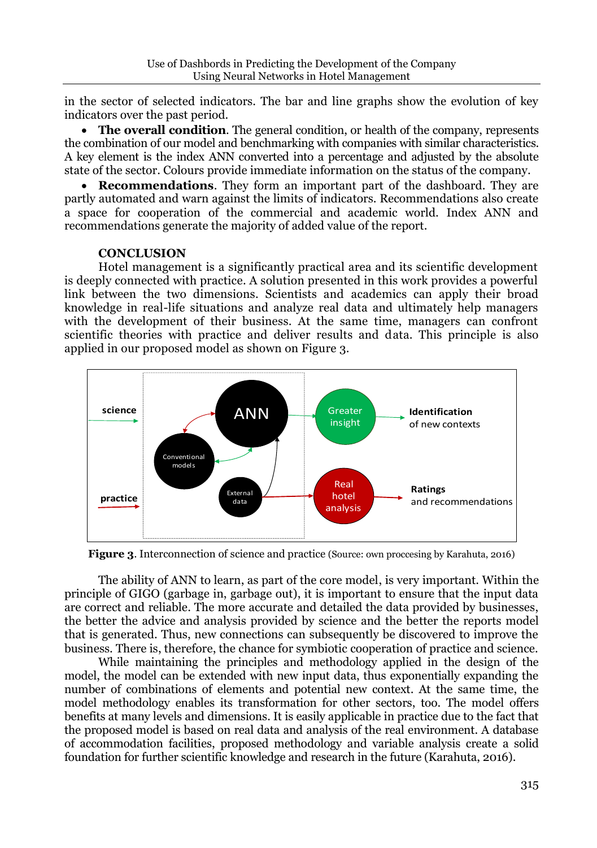in the sector of selected indicators. The bar and line graphs show the evolution of key indicators over the past period.

 **The overall condition**. The general condition, or health of the company, represents the combination of our model and benchmarking with companies with similar characteristics. A key element is the index ANN converted into a percentage and adjusted by the absolute state of the sector. Colours provide immediate information on the status of the company.

 **Recommendations**. They form an important part of the dashboard. They are partly automated and warn against the limits of indicators. Recommendations also create a space for cooperation of the commercial and academic world. Index ANN and recommendations generate the majority of added value of the report.

# **CONCLUSION**

Hotel management is a significantly practical area and its scientific development is deeply connected with practice. A solution presented in this work provides a powerful link between the two dimensions. Scientists and academics can apply their broad knowledge in real-life situations and analyze real data and ultimately help managers with the development of their business. At the same time, managers can confront scientific theories with practice and deliver results and data. This principle is also applied in our proposed model as shown on Figure 3.



**Figure 3.** Interconnection of science and practice (Source: own proccesing by Karahuta, 2016)

The ability of ANN to learn, as part of the core model, is very important. Within the principle of GIGO (garbage in, garbage out), it is important to ensure that the input data are correct and reliable. The more accurate and detailed the data provided by businesses, the better the advice and analysis provided by science and the better the reports model that is generated. Thus, new connections can subsequently be discovered to improve the business. There is, therefore, the chance for symbiotic cooperation of practice and science.

While maintaining the principles and methodology applied in the design of the model, the model can be extended with new input data, thus exponentially expanding the number of combinations of elements and potential new context. At the same time, the model methodology enables its transformation for other sectors, too. The model offers benefits at many levels and dimensions. It is easily applicable in practice due to the fact that the proposed model is based on real data and analysis of the real environment. A database of accommodation facilities, proposed methodology and variable analysis create a solid foundation for further scientific knowledge and research in the future (Karahuta, 2016).